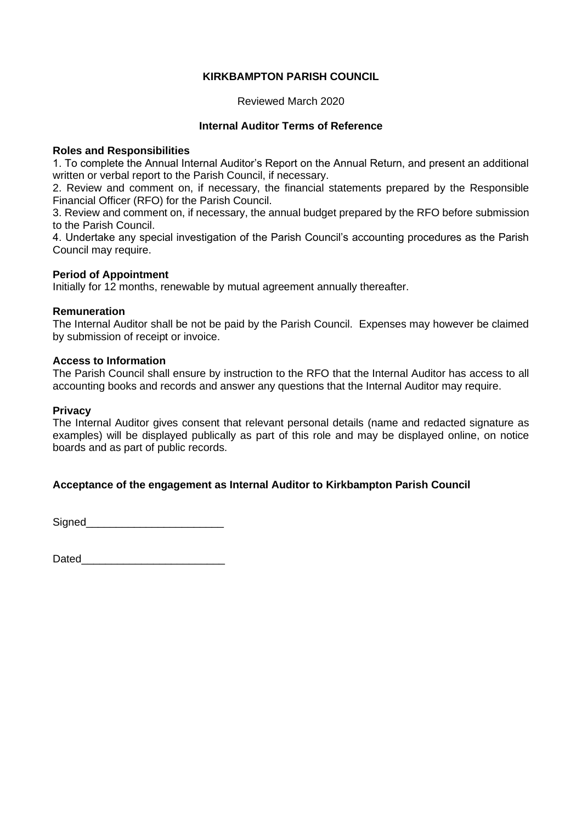# **KIRKBAMPTON PARISH COUNCIL**

## Reviewed March 2020

## **Internal Auditor Terms of Reference**

#### **Roles and Responsibilities**

1. To complete the Annual Internal Auditor's Report on the Annual Return, and present an additional written or verbal report to the Parish Council, if necessary.

2. Review and comment on, if necessary, the financial statements prepared by the Responsible Financial Officer (RFO) for the Parish Council.

3. Review and comment on, if necessary, the annual budget prepared by the RFO before submission to the Parish Council.

4. Undertake any special investigation of the Parish Council's accounting procedures as the Parish Council may require.

## **Period of Appointment**

Initially for 12 months, renewable by mutual agreement annually thereafter.

#### **Remuneration**

The Internal Auditor shall be not be paid by the Parish Council. Expenses may however be claimed by submission of receipt or invoice.

## **Access to Information**

The Parish Council shall ensure by instruction to the RFO that the Internal Auditor has access to all accounting books and records and answer any questions that the Internal Auditor may require.

#### **Privacy**

The Internal Auditor gives consent that relevant personal details (name and redacted signature as examples) will be displayed publically as part of this role and may be displayed online, on notice boards and as part of public records.

# **Acceptance of the engagement as Internal Auditor to Kirkbampton Parish Council**

Signed **Signed**